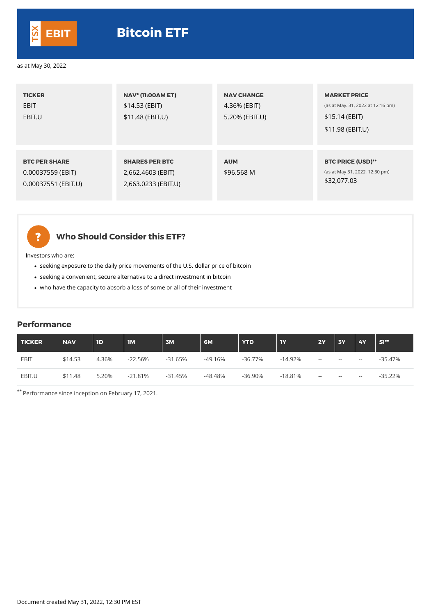| <b>TICKER</b><br><b>EBIT</b><br>EBIT.U                           | <b>NAV* (11:00AM ET)</b><br>\$14.53 (EBIT)<br>\$11.48 (EBIT.U)    | <b>NAV CHANGE</b><br>4.36% (EBIT)<br>5.20% (EBIT.U) | <b>MARKET PRICE</b><br>(as at May. 31, 2022 at 12:16 pm)<br>\$15.14 (EBIT)<br>\$11.98 (EBIT.U) |
|------------------------------------------------------------------|-------------------------------------------------------------------|-----------------------------------------------------|------------------------------------------------------------------------------------------------|
| <b>BTC PER SHARE</b><br>0.00037559 (EBIT)<br>0.00037551 (EBIT.U) | <b>SHARES PER BTC</b><br>2,662.4603 (EBIT)<br>2,663.0233 (EBIT.U) | <b>AUM</b><br>\$96.568 M                            | <b>BTC PRICE (USD)**</b><br>(as at May 31, 2022, 12:30 pm)<br>\$32,077.03                      |



## **Who Should Consider this ETF?**

Investors who are:

- seeking exposure to the daily price movements of the U.S. dollar price of bitcoin
- seeking a convenient, secure alternative to a direct investment in bitcoin
- who have the capacity to absorb a loss of some or all of their investment

### **Performance**

| TICKER | <b>NAV</b> | 1D    | IM        | 3M        | 6M      | <b>YTD</b> | 1Y        | 2Y         | <b>3Y</b> | <b>4Y</b>                | $SI**$     |
|--------|------------|-------|-----------|-----------|---------|------------|-----------|------------|-----------|--------------------------|------------|
| EBIT   | \$14.53    | 4.36% | $-22.56%$ | $-31.65%$ | -49.16% | -36.77%    | $-14.92%$ | $\sim$ $-$ | $- -$     | $\overline{\phantom{m}}$ | -35.47%    |
| EBIT.U | \$11.48    | 5.20% | $-21.81%$ | $-31.45%$ | -48.48% | $-36.90\%$ | $-18.81%$ | $- -$      | $- -$     | $- -$                    | $-35.22\%$ |

\*\* Performance since inception on February 17, 2021.

Document created May 31, 2022, 12:30 PM EST



### as at May 30, 2022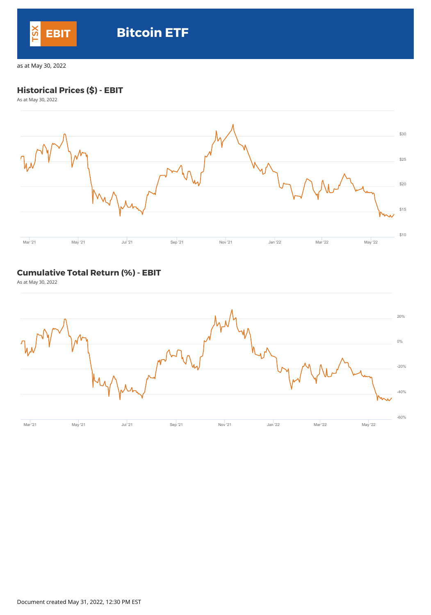## **Historical Prices (\$) - EBIT**

As at May 30, 2022



### **Cumulative Total Return (%) - EBIT**

As at May 30, 2022



Document created May 31, 2022, 12:30 PM EST



# **EBIT Bitcoin ETF**

as at May 30, 2022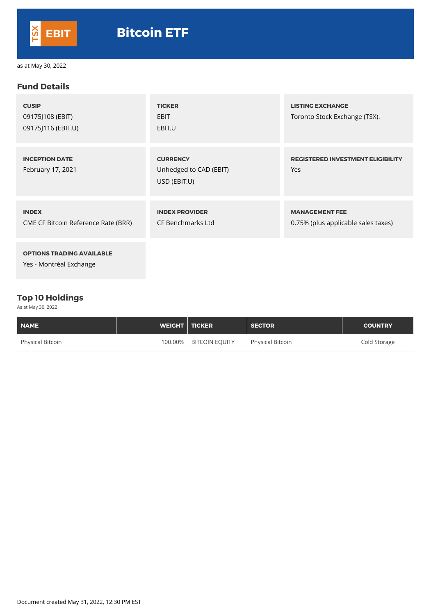### **Fund Details**

| <b>CUSIP</b><br>09175J108 (EBIT)<br>09175J116 (EBIT.U)     | <b>TICKER</b><br><b>EBIT</b><br>EBIT.U                    | <b>LISTING EXCHANGE</b><br>Toronto Stock Exchange (TSX).     |
|------------------------------------------------------------|-----------------------------------------------------------|--------------------------------------------------------------|
| <b>INCEPTION DATE</b><br>February 17, 2021                 | <b>CURRENCY</b><br>Unhedged to CAD (EBIT)<br>USD (EBIT.U) | <b>REGISTERED INVESTMENT ELIGIBILITY</b><br>Yes              |
| <b>INDEX</b><br><b>CME CF Bitcoin Reference Rate (BRR)</b> | <b>INDEX PROVIDER</b><br><b>CF Benchmarks Ltd</b>         | <b>MANAGEMENT FEE</b><br>0.75% (plus applicable sales taxes) |
| <b>OPTIONS TRADING AVAILABLE</b>                           |                                                           |                                                              |

Yes - Montréal Exchange

### **Top 10 Holdings**

As at May 30, 2022

| <b>NAME</b>             | WEIGHT   TICKER |                       | <b>SECTOR</b>           | <b>COUNTRY</b> |
|-------------------------|-----------------|-----------------------|-------------------------|----------------|
| <b>Physical Bitcoin</b> | 100.00%         | <b>BITCOIN EQUITY</b> | <b>Physical Bitcoin</b> | Cold Storage   |

Document created May 31, 2022, 12:30 PM EST



as at May 30, 2022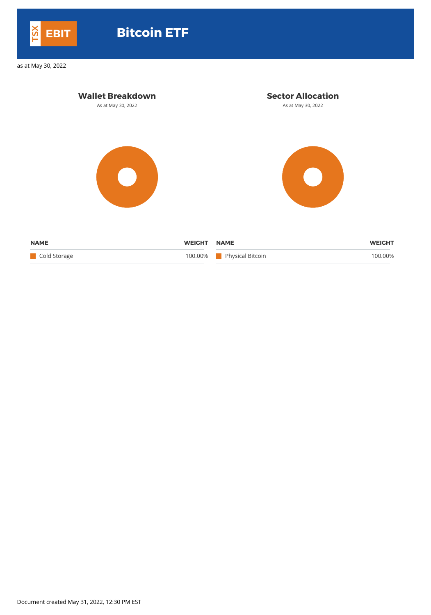| <b>Wallet Breakdown</b><br>As at May 30, 2022 |                          | <b>Sector Allocation</b><br>As at May 30, 2022   |                          |  |
|-----------------------------------------------|--------------------------|--------------------------------------------------|--------------------------|--|
|                                               |                          |                                                  |                          |  |
| <b>NAME</b><br>Cold Storage                   | <b>WEIGHT</b><br>100.00% | <b>NAME</b><br><b>Physical Bitcoin</b><br>a sa B | <b>WEIGHT</b><br>100.00% |  |

Document created May 31, 2022, 12:30 PM EST



# **EBIT Bitcoin ETF**

as at May 30, 2022

 $\sim$